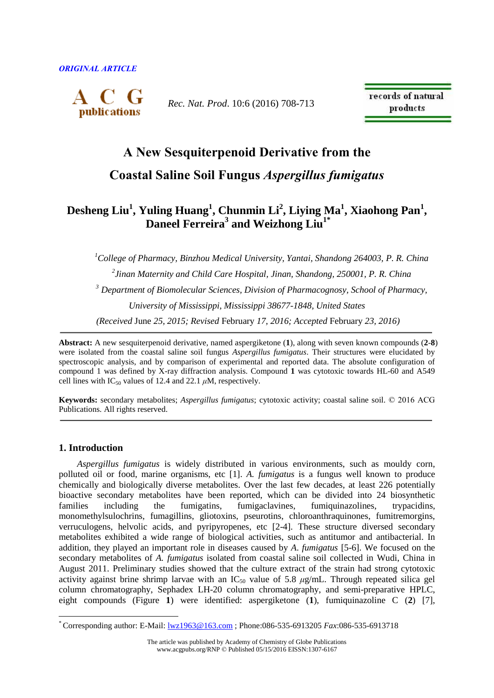

*Rec. Nat. Prod*. 10:6 (2016) 708-713

records of natural products

## **A New Sesquiterpenoid Derivative from the**

# **Coastal Saline Soil Fungus** *Aspergillus fumigatus*

# **Desheng Liu<sup>1</sup> , Yuling Huang<sup>1</sup> , Chunmin Li<sup>2</sup> , Liying Ma<sup>1</sup> , Xiaohong Pan<sup>1</sup> , Daneel Ferreira<sup>3</sup> and Weizhong Liu1\***

*<sup>1</sup>College of Pharmacy, Binzhou Medical University, Yantai, Shandong 264003, P. R. China 2 Jinan Maternity and Child Care Hospital, Jinan, Shandong, 250001, P. R. China <sup>3</sup> Department of Biomolecular Sciences, Division of Pharmacognosy, School of Pharmacy, University of Mississippi, Mississippi 38677-1848, United States (Received* June *25, 2015; Revised* February *17, 2016; Accepted* February *23, 2016)*

**Abstract:** A new sesquiterpenoid derivative, named aspergiketone (**1**), along with seven known compounds (**2**-**8**) were isolated from the coastal saline soil fungus *Aspergillus fumigatus*. Their structures were elucidated by spectroscopic analysis, and by comparison of experimental and reported data. The absolute configuration of compound 1 was defined by X-ray diffraction analysis. Compound **1** was cytotoxic towards HL-60 and A549 cell lines with IC<sub>50</sub> values of 12.4 and 22.1  $\mu$ M, respectively.

**Keywords:** secondary metabolites; *Aspergillus fumigatus*; cytotoxic activity; coastal saline soil. © 2016 ACG Publications. All rights reserved.

## **1. Introduction**

 $\overline{a}$ 

*Aspergillus fumigatus* is widely distributed in various environments, such as mouldy corn, polluted oil or food, marine organisms, etc [1]. *A. fumigatus* is a fungus well known to produce chemically and biologically diverse metabolites. Over the last few decades, at least 226 potentially bioactive secondary metabolites have been reported, which can be divided into 24 biosynthetic families including the fumigatins, fumigaclavines, fumiquinazolines, trypacidins, monomethylsulochrins, fumagillins, gliotoxins, pseurotins, chloroanthraquinones, fumitremorgins, verruculogens, helvolic acids, and pyripyropenes, etc [2-4]. These structure diversed secondary metabolites exhibited a wide range of biological activities, such as antitumor and antibacterial. In addition, they played an important role in diseases caused by *A*. *fumigatus* [5-6]. We focused on the secondary metabolites of *A. fumigatus* isolated from coastal saline soil collected in Wudi, China in August 2011. Preliminary studies showed that the culture extract of the strain had strong cytotoxic activity against brine shrimp larvae with an  $IC_{50}$  value of 5.8  $\mu$ g/mL. Through repeated silica gel column chromatography, Sephadex LH-20 column chromatography, and semi-preparative HPLC, eight compounds (Figure **1**) were identified: aspergiketone (**1**), fumiquinazoline C (**2**) [7],

<sup>\*</sup> Corresponding author: E-Mail: [lwz1963@163.com](mailto:lwz1963@163.com) ; Phone:086-535-6913205 *Fax*:086-535-6913718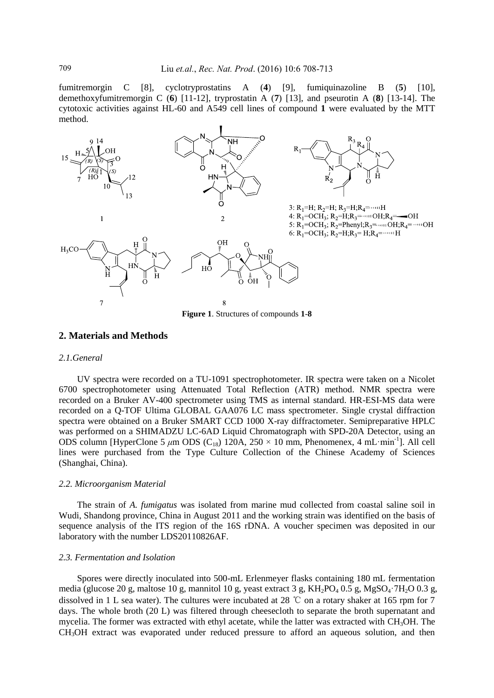fumitremorgin C [8], cyclotryprostatins A (**4**) [9], fumiquinazoline B (**5**) [10], demethoxyfumitremorgin C (**6**) [11-12], tryprostatin A (**7**) [13], and pseurotin A (**8**) [13-14]. The cytotoxic activities against HL-60 and A549 cell lines of compound **1** were evaluated by the MTT method.



## **2. Materials and Methods**

#### *2.1.General*

UV spectra were recorded on a TU-1091 spectrophotometer. IR spectra were taken on a Nicolet 6700 spectrophotometer using Attenuated Total Reflection (ATR) method. NMR spectra were recorded on a Bruker AV-400 spectrometer using TMS as internal standard. HR-ESI-MS data were recorded on a Q-TOF Ultima GLOBAL GAA076 LC mass spectrometer. Single crystal diffraction spectra were obtained on a Bruker SMART CCD 1000 X-ray diffractometer. Semipreparative HPLC was performed on a SHIMADZU LC-6AD Liquid Chromatograph with SPD-20A Detector, using an ODS column [HyperClone 5  $\mu$ m ODS (C<sub>18</sub>) 120A, 250 × 10 mm, Phenomenex, 4 mL·min<sup>-1</sup>]. All cell lines were purchased from the Type Culture Collection of the Chinese Academy of Sciences (Shanghai, China).

#### *2.2. Microorganism Material*

The strain of *A. fumigatus* was isolated from marine mud collected from coastal saline soil in Wudi, Shandong province, China in August 2011 and the working strain was identified on the basis of sequence analysis of the ITS region of the 16S rDNA. A voucher specimen was deposited in our laboratory with the number LDS20110826AF.

#### *2.3. Fermentation and Isolation*

Spores were directly inoculated into 500-mL Erlenmeyer flasks containing 180 mL fermentation media (glucose 20 g, maltose 10 g, mannitol 10 g, yeast extract 3 g,  $KH_2PO_4$  0.5 g,  $MgSO_4$ ·7H<sub>2</sub>O 0.3 g, dissolved in 1 L sea water). The cultures were incubated at 28 ℃ on a rotary shaker at 165 rpm for 7 days. The whole broth (20 L) was filtered through cheesecloth to separate the broth supernatant and mycelia. The former was extracted with ethyl acetate, while the latter was extracted with CH3OH. The CH3OH extract was evaporated under reduced pressure to afford an aqueous solution, and then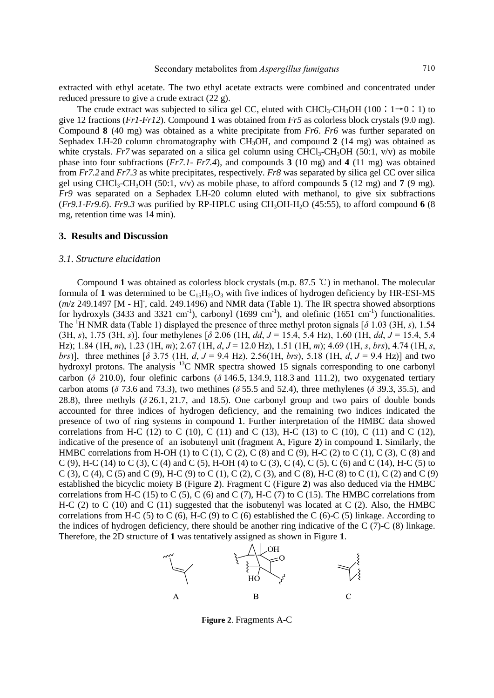extracted with ethyl acetate. The two ethyl acetate extracts were combined and concentrated under reduced pressure to give a crude extract (22 g).

The crude extract was subjected to silica gel CC, eluted with CHCl<sub>3</sub>-CH<sub>3</sub>OH (100 : 1→0 : 1) to give 12 fractions (*Fr1*-*Fr12*). Compound **1** was obtained from *Fr5* as colorless block crystals (9.0 mg). Compound **8** (40 mg) was obtained as a white precipitate from *Fr6*. *Fr6* was further separated on Sephadex LH-20 column chromatography with CH3OH, and compound **2** (14 mg) was obtained as white crystals. *Fr7* was separated on a silica gel column using CHCl<sub>3</sub>-CH<sub>3</sub>OH (50:1, v/v) as mobile phase into four subfractions (*Fr7.1*- *Fr7.4*), and compounds **3** (10 mg) and **4** (11 mg) was obtained from *Fr7.2* and *Fr7.3* as white precipitates, respectively. *Fr8* was separated by silica gel CC over silica gel using CHCl<sub>3</sub>-CH<sub>3</sub>OH (50:1, v/v) as mobile phase, to afford compounds  $5(12 \text{ mg})$  and  $7(9 \text{ mg})$ . *Fr9* was separated on a Sephadex LH-20 column eluted with methanol, to give six subfractions  $(Fr9.1-Fr9.6)$ .  $Fr9.3$  was purified by RP-HPLC using CH<sub>3</sub>OH-H<sub>2</sub>O (45:55), to afford compound 6 (8) mg, retention time was 14 min).

#### **3. Results and Discussion**

#### *3.1. Structure elucidation*

Compound **1** was obtained as colorless block crystals (m.p. 87.5 ℃) in methanol. The molecular formula of 1 was determined to be  $C_{15}H_{22}O_3$  with five indices of hydrogen deficiency by HR-ESI-MS  $(m/z 249.1497$  [M - H], cald. 249.1496) and NMR data (Table 1). The IR spectra showed absorptions for hydroxyls (3433 and 3321 cm<sup>-1</sup>), carbonyl (1699 cm<sup>-1</sup>), and olefinic (1651 cm<sup>-1</sup>) functionalities. The <sup>1</sup>H NMR data (Table 1) displayed the presence of three methyl proton signals  $\lceil \delta 1.03 \rceil$  (3H, *s*), 1.54 (3H, *s*), 1.75 (3H, *s*)], four methylenes [*δ* 2.06 (1H, *dd*, *J* = 15.4, 5.4 Hz), 1.60 (1H, *dd*, *J* = 15.4, 5.4 Hz); 1.84 (1H, *m*), 1.23 (1H, *m*); 2.67 (1H, *d*, *J* = 12.0 Hz), 1.51 (1H, *m*); 4.69 (1H, *s*, *brs*), 4.74 (1H, *s*, *brs*)], three methines [*δ* 3.75 (1H, *d*, *J* = 9.4 Hz), 2.56(1H, *brs*), 5.18 (1H, *d*, *J* = 9.4 Hz)] and two hydroxyl protons. The analysis <sup>13</sup>C NMR spectra showed 15 signals corresponding to one carbonyl carbon ( $\delta$  210.0), four olefinic carbons ( $\delta$  146.5, 134.9, 118.3 and 111.2), two oxygenated tertiary carbon atoms ( $\delta$  73.6 and 73.3), two methines ( $\delta$  55.5 and 52.4), three methylenes ( $\delta$  39.3, 35.5), and 28.8), three methyls  $(\delta 26.1, 21.7,$  and 18.5). One carbonyl group and two pairs of double bonds accounted for three indices of hydrogen deficiency, and the remaining two indices indicated the presence of two of ring systems in compound **1**. Further interpretation of the HMBC data showed correlations from H-C (12) to C (10), C (11) and C (13), H-C (13) to C (10), C (11) and C (12), indicative of the presence of an isobutenyl unit (fragment A, Figure **2**) in compound **1**. Similarly, the HMBC correlations from H-OH (1) to C (1), C (2), C (8) and C (9), H-C (2) to C (1), C (3), C (8) and C (9), H-C (14) to C (3), C (4) and C (5), H-OH (4) to C (3), C (4), C (5), C (6) and C (14), H-C (5) to C (3), C (4), C (5) and C (9), H-C (9) to C (1), C (2), C (3), and C (8), H-C (8) to C (1), C (2) and C (9) established the bicyclic moiety B (Figure **2**). Fragment C (Figure **2**) was also deduced via the HMBC correlations from H-C (15) to C (5), C (6) and C (7), H-C (7) to C (15). The HMBC correlations from H-C (2) to C (10) and C (11) suggested that the isobutenyl was located at C (2). Also, the HMBC correlations from H-C (5) to C (6), H-C (9) to C (6) established the C (6)-C (5) linkage. According to the indices of hydrogen deficiency, there should be another ring indicative of the C (7)-C (8) linkage. Therefore, the 2D structure of **1** was tentatively assigned as shown in Figure **1**.



**Figure 2**. Fragments A-C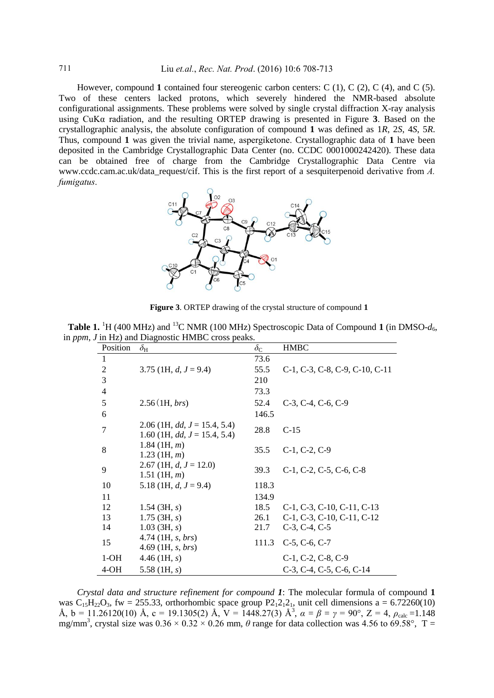However, compound 1 contained four stereogenic carbon centers: C (1), C (2), C (4), and C (5). Two of these centers lacked protons, which severely hindered the NMR-based absolute configurational assignments. These problems were solved by single crystal diffraction X-ray analysis using CuK $\alpha$  radiation, and the resulting ORTEP drawing is presented in Figure 3. Based on the crystallographic analysis, the absolute configuration of compound **1** was defined as 1*R*, 2*S*, 4*S*, 5*R*. Thus, compound **1** was given the trivial name, aspergiketone. Crystallographic data of **1** have been deposited in the Cambridge Crystallographic Data Center (no. CCDC 0001000242420). These data can be obtained free of charge from the Cambridge Crystallographic Data Centre via www.ccdc.cam.ac.uk/data\_request/cif. This is the first report of a sesquiterpenoid derivative from *A*. *fumigatus*.



**Figure 3**. ORTEP drawing of the crystal structure of compound **1**

**Table 1.** <sup>1</sup>H (400 MHz) and <sup>13</sup>C NMR (100 MHz) Spectroscopic Data of Compound **1** (in DMSO- $d_6$ , in *ppm*, *J* in Hz) and Diagnostic HMBC cross peaks.

| Position       | $\delta_{\rm H}$                                                     | $\delta_{\rm C}$ | <b>HMBC</b>                           |
|----------------|----------------------------------------------------------------------|------------------|---------------------------------------|
| 1              |                                                                      | 73.6             |                                       |
| 2              | 3.75 (1H, $d, J = 9.4$ )                                             | 55.5             | C-1, C-3, C-8, C-9, C-10, C-11        |
| 3              |                                                                      | 210              |                                       |
| $\overline{4}$ |                                                                      | 73.3             |                                       |
| 5              | $2.56$ (1H, <i>brs</i> )                                             | 52.4             | $C-3$ , $C-4$ , $C-6$ , $C-9$         |
| 6              |                                                                      | 146.5            |                                       |
| 7              | 2.06 (1H, $dd, J = 15.4, 5.4$ )<br>$1.60$ (1H, dd, $J = 15.4$ , 5.4) | 28.8             | $C-15$                                |
| 8              | $1.84$ (1H, m)<br>$1.23$ (1H, m)                                     | 35.5             | $C-1, C-2, C-9$                       |
| 9              | $2.67$ (1H, $d, J = 12.0$ )<br>$1.51$ (1H, m)                        | 39.3             | $C-1$ , $C-2$ , $C-5$ , $C-6$ , $C-8$ |
| 10             | 5.18 (1H, $d, J = 9.4$ )                                             | 118.3            |                                       |
| 11             |                                                                      | 134.9            |                                       |
| 12             | $1.54$ (3H, s)                                                       | 18.5             | C-1, C-3, C-10, C-11, C-13            |
| 13             | $1.75$ (3H, s)                                                       | 26.1             | C-1, C-3, C-10, C-11, C-12            |
| 14             | $1.03$ (3H, s)                                                       | 21.7             | $C-3$ , $C-4$ , $C-5$                 |
| 15             | $4.74$ (1H, s, brs)<br>$4.69$ (1H, s, brs)                           | 111.3            | $C-5$ , $C-6$ , $C-7$                 |
| $1-OH$         | $4.46$ (1H, s)                                                       |                  | $C-1$ , $C-2$ , $C-8$ , $C-9$         |
| $4-OH$         | $5.58$ (1H, s)                                                       |                  | C-3, C-4, C-5, C-6, C-14              |

*Crystal data and structure refinement for compound 1*: The molecular formula of compound **1** was  $C_{15}H_{22}O_3$ , fw = 255.33, orthorhombic space group P2<sub>1</sub>2<sub>1</sub>2<sub>1</sub>, unit cell dimensions a = 6.72260(10) Å, **b** = 11.26120(10) Å, **c** = 19.1305(2) Å,  $V = 1448.27(3)$  Å<sup>3</sup>,  $\alpha = \beta = \gamma = 90^\circ$ ,  $Z = 4$ ,  $\rho_{\text{calc}} = 1.148$ mg/mm<sup>3</sup>, crystal size was  $0.36 \times 0.32 \times 0.26$  mm,  $\theta$  range for data collection was 4.56 to 69.58°, T =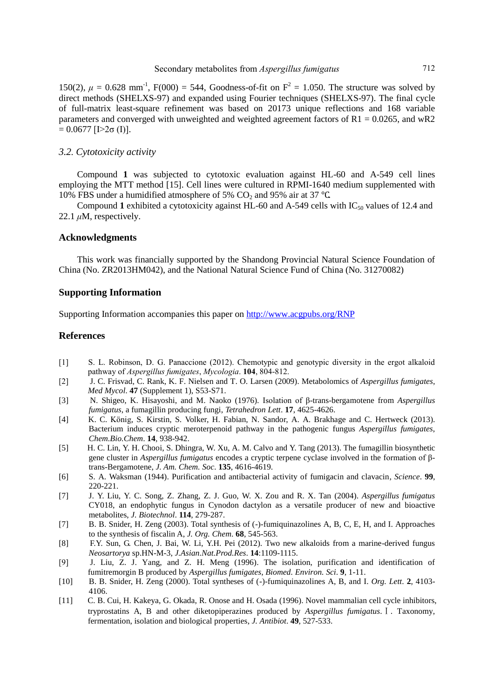150(2),  $\mu = 0.628$  mm<sup>-1</sup>, F(000) = 544, Goodness-of-fit on F<sup>2</sup> = 1.050. The structure was solved by direct methods (SHELXS-97) and expanded using Fourier techniques (SHELXS-97). The final cycle of full-matrix least-square refinement was based on 20173 unique reflections and 168 variable parameters and converged with unweighted and weighted agreement factors of  $R1 = 0.0265$ , and wR2  $= 0.0677$  [I>2σ (I)].

### *3.2. Cytotoxicity activity*

Compound **1** was subjected to cytotoxic evaluation against HL-60 and A-549 cell lines employing the MTT method [15]. Cell lines were cultured in RPMI-1640 medium supplemented with 10% FBS under a humidified atmosphere of 5%  $CO_2$  and 95% air at 37 °C.

Compound 1 exhibited a cytotoxicity against HL-60 and A-549 cells with  $IC_{50}$  values of 12.4 and 22.1 *μ*M, respectively.

#### **Acknowledgments**

This work was financially supported by the Shandong Provincial Natural Science Foundation of China (No. ZR2013HM042), and the National Natural Science Fund of China (No. 31270082)

#### **Supporting Information**

Supporting Information accompanies this paper on<http://www.acgpubs.org/RNP>

## **References**

- [1] S. L. Robinson, D. G. Panaccione (2012). Chemotypic and genotypic diversity in the ergot alkaloid pathway of *Aspergillus fumigates*, *Mycologia*. **104**, 804-812.
- [2] J. C. Frisvad, C. Rank, K. F. Nielsen and T. O. Larsen (2009). Metabolomics of *Aspergillus fumigates*, *Med Mycol*. **47** (Supplement 1), S53-S71.
- [3] N. Shigeo, K. Hisayoshi, and M. Naoko (1976). Isolation of β-trans-bergamotene from *Aspergillus fumigatus*, a fumagillin producing fungi, *Tetrahedron Lett*. **17**, 4625-4626.
- [4] K. C. König, S. Kirstin, S. Volker, H. Fabian, N. Sandor, A. A. Brakhage and C. Hertweck (2013). Bacterium induces cryptic meroterpenoid pathway in the pathogenic fungus *Aspergillus fumigates*, *Chem.Bio.Chem*. **14**, 938-942.
- [5] H. C. Lin, Y. H. Chooi, S. Dhingra, W. Xu, A. M. Calvo and Y. Tang (2013). The fumagillin biosynthetic gene cluster in *Aspergillus fumigatus* encodes a cryptic terpene cyclase involved in the formation of βtrans-Bergamotene, *J. Am. Chem. Soc*. **135**, 4616-4619.
- [6] S. A. Waksman (1944). Purification and antibacterial activity of fumigacin and clavacin, *Science*. **99**, 220-221.
- [7] J. Y. Liu, Y. C. Song, Z. Zhang, Z. J. Guo, W. X. Zou and R. X. Tan (2004). *Aspergillus fumigatus* CY018, an endophytic fungus in Cynodon dactylon as a versatile producer of new and bioactive metabolites, *J. Biotechnol*. **114**, 279-287.
- [7] B. B. Snider, H. Zeng (2003). Total synthesis of (-)-fumiquinazolines A, B, C, E, H, and I. Approaches to the synthesis of fiscalin A, *J. Org. Chem*. **68**, 545-563.
- [8] F.Y. Sun, G. Chen, J. Bai, W. Li, Y.H. Pei (2012). Two new alkaloids from a marine-derived fungus *Neosartorya* sp.HN-M-3, *J.Asian.Nat.Prod.Res*. **14**:1109-1115.
- [9] J. Liu, Z. J. Yang, and Z. H. Meng (1996). The isolation, purification and identification of fumitremorgin B produced by *Aspergillus fumigates*, *Biomed. Environ. Sci*. **9**, 1-11.
- [10] B. B. Snider, H. Zeng (2000). Total syntheses of (-)-fumiquinazolines A, B, and I. *Org. Lett*. **2**, 4103- 4106.
- [11] C. B. Cui, H. Kakeya, G. Okada, R. Onose and H. Osada (1996). Novel mammalian cell cycle inhibitors, tryprostatins A, B and other diketopiperazines produced by *Aspergillus fumigatus*.Ⅰ. Taxonomy, fermentation, isolation and biological properties, *J. Antibiot*. **49**, 527-533.